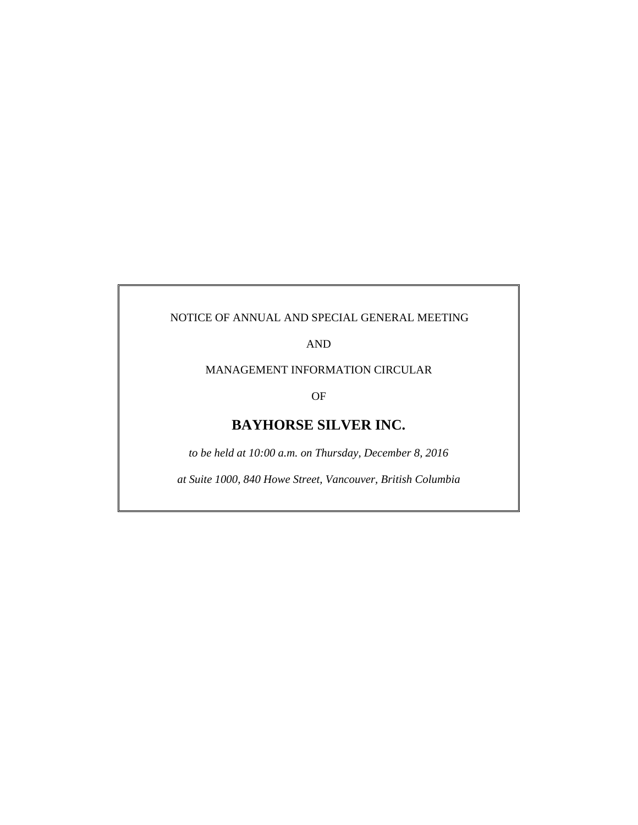# NOTICE OF ANNUAL AND SPECIAL GENERAL MEETING

AND

MANAGEMENT INFORMATION CIRCULAR

OF

# **BAYHORSE SILVER INC.**

*to be held at 10:00 a.m. on Thursday, December 8, 2016* 

*at Suite 1000, 840 Howe Street, Vancouver, British Columbia*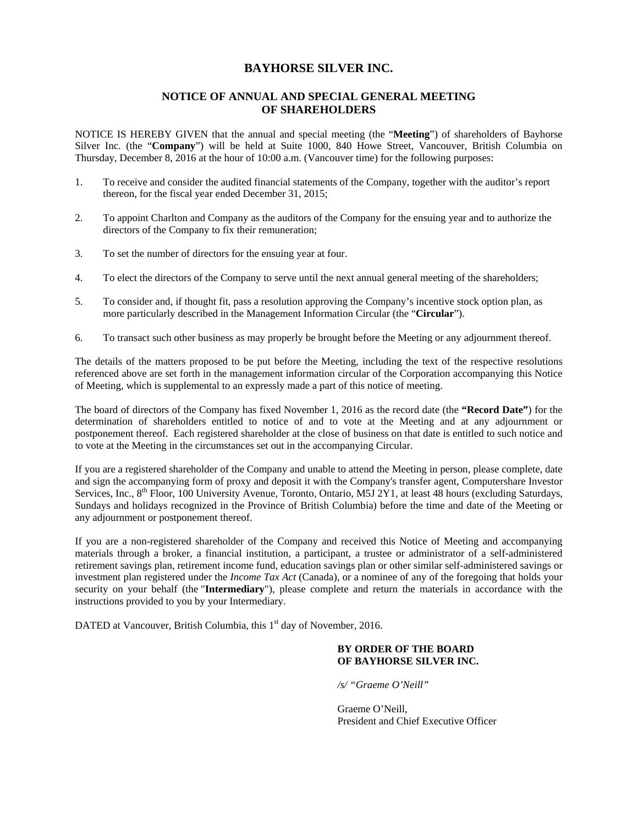# **BAYHORSE SILVER INC.**

# **NOTICE OF ANNUAL AND SPECIAL GENERAL MEETING OF SHAREHOLDERS**

NOTICE IS HEREBY GIVEN that the annual and special meeting (the "**Meeting**") of shareholders of Bayhorse Silver Inc. (the "**Company**") will be held at Suite 1000, 840 Howe Street, Vancouver, British Columbia on Thursday, December 8, 2016 at the hour of 10:00 a.m. (Vancouver time) for the following purposes:

- 1. To receive and consider the audited financial statements of the Company, together with the auditor's report thereon, for the fiscal year ended December 31, 2015;
- 2. To appoint Charlton and Company as the auditors of the Company for the ensuing year and to authorize the directors of the Company to fix their remuneration;
- 3. To set the number of directors for the ensuing year at four.
- 4. To elect the directors of the Company to serve until the next annual general meeting of the shareholders;
- 5. To consider and, if thought fit, pass a resolution approving the Company's incentive stock option plan, as more particularly described in the Management Information Circular (the "**Circular**").
- 6. To transact such other business as may properly be brought before the Meeting or any adjournment thereof.

The details of the matters proposed to be put before the Meeting, including the text of the respective resolutions referenced above are set forth in the management information circular of the Corporation accompanying this Notice of Meeting, which is supplemental to an expressly made a part of this notice of meeting.

The board of directors of the Company has fixed November 1, 2016 as the record date (the **"Record Date"**) for the determination of shareholders entitled to notice of and to vote at the Meeting and at any adjournment or postponement thereof. Each registered shareholder at the close of business on that date is entitled to such notice and to vote at the Meeting in the circumstances set out in the accompanying Circular.

If you are a registered shareholder of the Company and unable to attend the Meeting in person, please complete, date and sign the accompanying form of proxy and deposit it with the Company's transfer agent, Computershare Investor Services, Inc.,  $8<sup>th</sup>$  Floor, 100 University Avenue, Toronto, Ontario, M5J 2Y1, at least 48 hours (excluding Saturdays, Sundays and holidays recognized in the Province of British Columbia) before the time and date of the Meeting or any adjournment or postponement thereof.

If you are a non-registered shareholder of the Company and received this Notice of Meeting and accompanying materials through a broker, a financial institution, a participant, a trustee or administrator of a self-administered retirement savings plan, retirement income fund, education savings plan or other similar self-administered savings or investment plan registered under the *Income Tax Act* (Canada), or a nominee of any of the foregoing that holds your security on your behalf (the "**Intermediary**"), please complete and return the materials in accordance with the instructions provided to you by your Intermediary.

DATED at Vancouver, British Columbia, this 1<sup>st</sup> day of November, 2016.

# **BY ORDER OF THE BOARD OF BAYHORSE SILVER INC.**

*/s/ "Graeme O'Neill"* 

Graeme O'Neill, President and Chief Executive Officer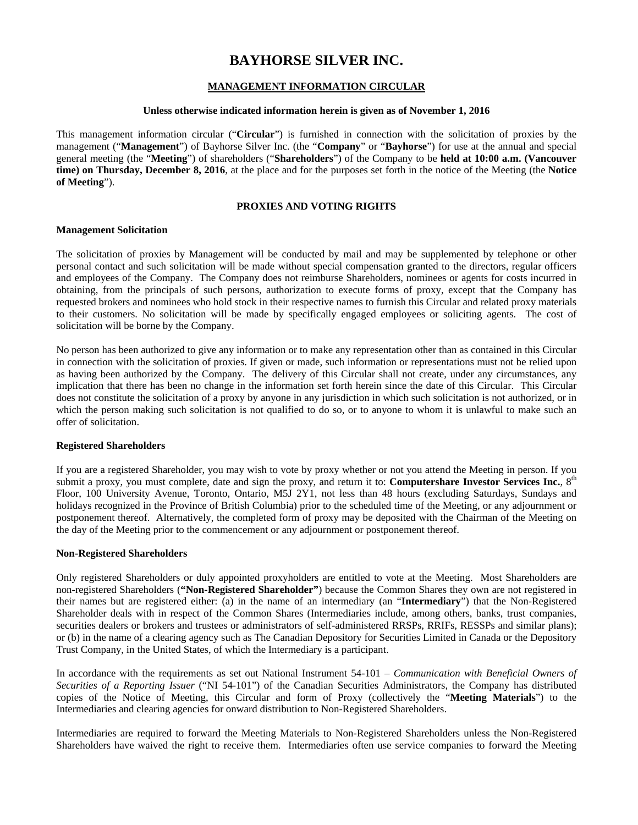# **BAYHORSE SILVER INC.**

# **MANAGEMENT INFORMATION CIRCULAR**

#### **Unless otherwise indicated information herein is given as of November 1, 2016**

This management information circular ("**Circular**") is furnished in connection with the solicitation of proxies by the management ("**Management**") of Bayhorse Silver Inc. (the "**Company**" or "**Bayhorse**") for use at the annual and special general meeting (the "**Meeting**") of shareholders ("**Shareholders**") of the Company to be **held at 10:00 a.m. (Vancouver time) on Thursday, December 8, 2016**, at the place and for the purposes set forth in the notice of the Meeting (the **Notice of Meeting**").

# **PROXIES AND VOTING RIGHTS**

#### **Management Solicitation**

The solicitation of proxies by Management will be conducted by mail and may be supplemented by telephone or other personal contact and such solicitation will be made without special compensation granted to the directors, regular officers and employees of the Company. The Company does not reimburse Shareholders, nominees or agents for costs incurred in obtaining, from the principals of such persons, authorization to execute forms of proxy, except that the Company has requested brokers and nominees who hold stock in their respective names to furnish this Circular and related proxy materials to their customers. No solicitation will be made by specifically engaged employees or soliciting agents. The cost of solicitation will be borne by the Company.

No person has been authorized to give any information or to make any representation other than as contained in this Circular in connection with the solicitation of proxies. If given or made, such information or representations must not be relied upon as having been authorized by the Company. The delivery of this Circular shall not create, under any circumstances, any implication that there has been no change in the information set forth herein since the date of this Circular. This Circular does not constitute the solicitation of a proxy by anyone in any jurisdiction in which such solicitation is not authorized, or in which the person making such solicitation is not qualified to do so, or to anyone to whom it is unlawful to make such an offer of solicitation.

# **Registered Shareholders**

If you are a registered Shareholder, you may wish to vote by proxy whether or not you attend the Meeting in person. If you submit a proxy, you must complete, date and sign the proxy, and return it to: **Computershare Investor Services Inc.**, 8<sup>th</sup> Floor, 100 University Avenue, Toronto, Ontario, M5J 2Y1, not less than 48 hours (excluding Saturdays, Sundays and holidays recognized in the Province of British Columbia) prior to the scheduled time of the Meeting, or any adjournment or postponement thereof. Alternatively, the completed form of proxy may be deposited with the Chairman of the Meeting on the day of the Meeting prior to the commencement or any adjournment or postponement thereof.

#### **Non-Registered Shareholders**

Only registered Shareholders or duly appointed proxyholders are entitled to vote at the Meeting. Most Shareholders are non-registered Shareholders (**"Non-Registered Shareholder"**) because the Common Shares they own are not registered in their names but are registered either: (a) in the name of an intermediary (an "**Intermediary**") that the Non-Registered Shareholder deals with in respect of the Common Shares (Intermediaries include, among others, banks, trust companies, securities dealers or brokers and trustees or administrators of self-administered RRSPs, RRIFs, RESSPs and similar plans); or (b) in the name of a clearing agency such as The Canadian Depository for Securities Limited in Canada or the Depository Trust Company, in the United States, of which the Intermediary is a participant.

In accordance with the requirements as set out National Instrument 54-101 – *Communication with Beneficial Owners of Securities of a Reporting Issuer* ("NI 54-101") of the Canadian Securities Administrators, the Company has distributed copies of the Notice of Meeting, this Circular and form of Proxy (collectively the "**Meeting Materials**") to the Intermediaries and clearing agencies for onward distribution to Non-Registered Shareholders.

Intermediaries are required to forward the Meeting Materials to Non-Registered Shareholders unless the Non-Registered Shareholders have waived the right to receive them. Intermediaries often use service companies to forward the Meeting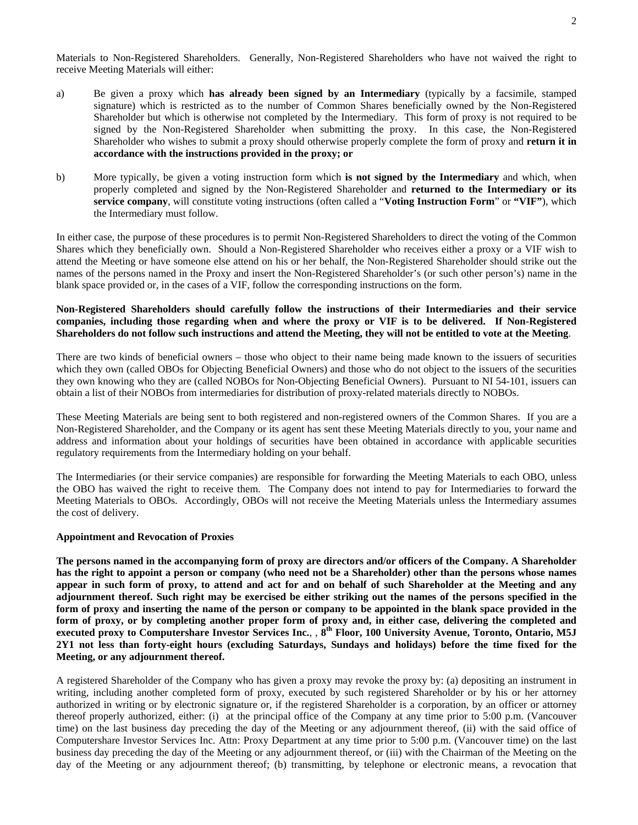Materials to Non-Registered Shareholders. Generally, Non-Registered Shareholders who have not waived the right to receive Meeting Materials will either:

- a) Be given a proxy which **has already been signed by an Intermediary** (typically by a facsimile, stamped signature) which is restricted as to the number of Common Shares beneficially owned by the Non-Registered Shareholder but which is otherwise not completed by the Intermediary. This form of proxy is not required to be signed by the Non-Registered Shareholder when submitting the proxy. In this case, the Non-Registered Shareholder who wishes to submit a proxy should otherwise properly complete the form of proxy and **return it in accordance with the instructions provided in the proxy; or**
- b) More typically, be given a voting instruction form which **is not signed by the Intermediary** and which, when properly completed and signed by the Non-Registered Shareholder and **returned to the Intermediary or its service company**, will constitute voting instructions (often called a "**Voting Instruction Form**" or **"VIF"**), which the Intermediary must follow.

In either case, the purpose of these procedures is to permit Non-Registered Shareholders to direct the voting of the Common Shares which they beneficially own. Should a Non-Registered Shareholder who receives either a proxy or a VIF wish to attend the Meeting or have someone else attend on his or her behalf, the Non-Registered Shareholder should strike out the names of the persons named in the Proxy and insert the Non-Registered Shareholder's (or such other person's) name in the blank space provided or, in the cases of a VIF, follow the corresponding instructions on the form.

# **Non-Registered Shareholders should carefully follow the instructions of their Intermediaries and their service companies, including those regarding when and where the proxy or VIF is to be delivered. If Non-Registered Shareholders do not follow such instructions and attend the Meeting, they will not be entitled to vote at the Meeting**.

There are two kinds of beneficial owners – those who object to their name being made known to the issuers of securities which they own (called OBOs for Objecting Beneficial Owners) and those who do not object to the issuers of the securities they own knowing who they are (called NOBOs for Non-Objecting Beneficial Owners). Pursuant to NI 54-101, issuers can obtain a list of their NOBOs from intermediaries for distribution of proxy-related materials directly to NOBOs.

These Meeting Materials are being sent to both registered and non-registered owners of the Common Shares. If you are a Non-Registered Shareholder, and the Company or its agent has sent these Meeting Materials directly to you, your name and address and information about your holdings of securities have been obtained in accordance with applicable securities regulatory requirements from the Intermediary holding on your behalf.

The Intermediaries (or their service companies) are responsible for forwarding the Meeting Materials to each OBO, unless the OBO has waived the right to receive them. The Company does not intend to pay for Intermediaries to forward the Meeting Materials to OBOs. Accordingly, OBOs will not receive the Meeting Materials unless the Intermediary assumes the cost of delivery.

# **Appointment and Revocation of Proxies**

**The persons named in the accompanying form of proxy are directors and/or officers of the Company. A Shareholder has the right to appoint a person or company (who need not be a Shareholder) other than the persons whose names appear in such form of proxy, to attend and act for and on behalf of such Shareholder at the Meeting and any adjournment thereof. Such right may be exercised be either striking out the names of the persons specified in the form of proxy and inserting the name of the person or company to be appointed in the blank space provided in the form of proxy, or by completing another proper form of proxy and, in either case, delivering the completed and executed proxy to Computershare Investor Services Inc.**, , **8th Floor, 100 University Avenue, Toronto, Ontario, M5J 2Y1 not less than forty-eight hours (excluding Saturdays, Sundays and holidays) before the time fixed for the Meeting, or any adjournment thereof.** 

A registered Shareholder of the Company who has given a proxy may revoke the proxy by: (a) depositing an instrument in writing, including another completed form of proxy, executed by such registered Shareholder or by his or her attorney authorized in writing or by electronic signature or, if the registered Shareholder is a corporation, by an officer or attorney thereof properly authorized, either: (i) at the principal office of the Company at any time prior to 5:00 p.m. (Vancouver time) on the last business day preceding the day of the Meeting or any adjournment thereof, (ii) with the said office of Computershare Investor Services Inc. Attn: Proxy Department at any time prior to 5:00 p.m. (Vancouver time) on the last business day preceding the day of the Meeting or any adjournment thereof, or (iii) with the Chairman of the Meeting on the day of the Meeting or any adjournment thereof; (b) transmitting, by telephone or electronic means, a revocation that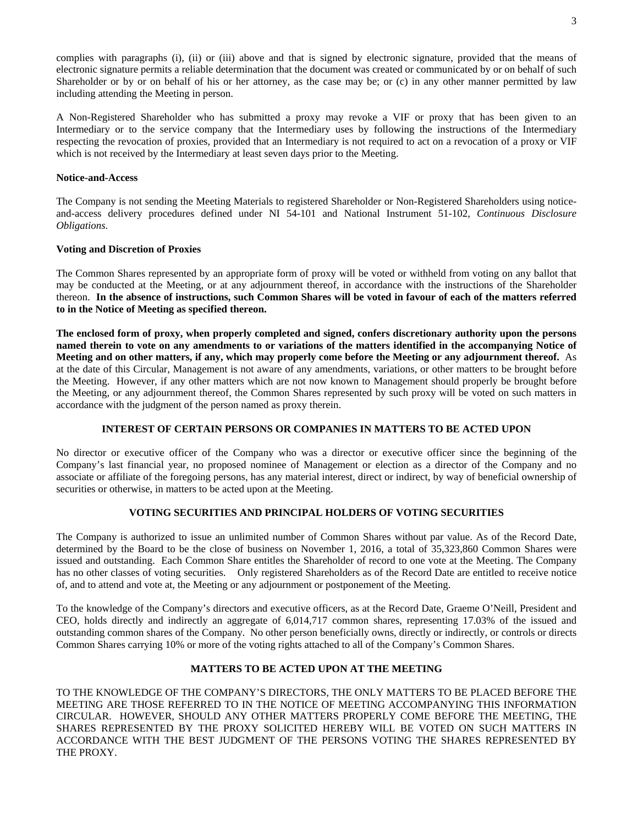complies with paragraphs (i), (ii) or (iii) above and that is signed by electronic signature, provided that the means of electronic signature permits a reliable determination that the document was created or communicated by or on behalf of such Shareholder or by or on behalf of his or her attorney, as the case may be; or (c) in any other manner permitted by law including attending the Meeting in person.

A Non-Registered Shareholder who has submitted a proxy may revoke a VIF or proxy that has been given to an Intermediary or to the service company that the Intermediary uses by following the instructions of the Intermediary respecting the revocation of proxies, provided that an Intermediary is not required to act on a revocation of a proxy or VIF which is not received by the Intermediary at least seven days prior to the Meeting.

### **Notice-and-Access**

The Company is not sending the Meeting Materials to registered Shareholder or Non-Registered Shareholders using noticeand-access delivery procedures defined under NI 54-101 and National Instrument 51-102, *Continuous Disclosure Obligations.* 

# **Voting and Discretion of Proxies**

The Common Shares represented by an appropriate form of proxy will be voted or withheld from voting on any ballot that may be conducted at the Meeting, or at any adjournment thereof, in accordance with the instructions of the Shareholder thereon. **In the absence of instructions, such Common Shares will be voted in favour of each of the matters referred to in the Notice of Meeting as specified thereon.** 

**The enclosed form of proxy, when properly completed and signed, confers discretionary authority upon the persons named therein to vote on any amendments to or variations of the matters identified in the accompanying Notice of Meeting and on other matters, if any, which may properly come before the Meeting or any adjournment thereof.** As at the date of this Circular, Management is not aware of any amendments, variations, or other matters to be brought before the Meeting. However, if any other matters which are not now known to Management should properly be brought before the Meeting, or any adjournment thereof, the Common Shares represented by such proxy will be voted on such matters in accordance with the judgment of the person named as proxy therein.

# **INTEREST OF CERTAIN PERSONS OR COMPANIES IN MATTERS TO BE ACTED UPON**

No director or executive officer of the Company who was a director or executive officer since the beginning of the Company's last financial year, no proposed nominee of Management or election as a director of the Company and no associate or affiliate of the foregoing persons, has any material interest, direct or indirect, by way of beneficial ownership of securities or otherwise, in matters to be acted upon at the Meeting.

# **VOTING SECURITIES AND PRINCIPAL HOLDERS OF VOTING SECURITIES**

The Company is authorized to issue an unlimited number of Common Shares without par value. As of the Record Date, determined by the Board to be the close of business on November 1, 2016, a total of 35,323,860 Common Shares were issued and outstanding. Each Common Share entitles the Shareholder of record to one vote at the Meeting. The Company has no other classes of voting securities. Only registered Shareholders as of the Record Date are entitled to receive notice of, and to attend and vote at, the Meeting or any adjournment or postponement of the Meeting.

To the knowledge of the Company's directors and executive officers, as at the Record Date, Graeme O'Neill, President and CEO, holds directly and indirectly an aggregate of 6,014,717 common shares, representing 17.03% of the issued and outstanding common shares of the Company. No other person beneficially owns, directly or indirectly, or controls or directs Common Shares carrying 10% or more of the voting rights attached to all of the Company's Common Shares.

# **MATTERS TO BE ACTED UPON AT THE MEETING**

TO THE KNOWLEDGE OF THE COMPANY'S DIRECTORS, THE ONLY MATTERS TO BE PLACED BEFORE THE MEETING ARE THOSE REFERRED TO IN THE NOTICE OF MEETING ACCOMPANYING THIS INFORMATION CIRCULAR. HOWEVER, SHOULD ANY OTHER MATTERS PROPERLY COME BEFORE THE MEETING, THE SHARES REPRESENTED BY THE PROXY SOLICITED HEREBY WILL BE VOTED ON SUCH MATTERS IN ACCORDANCE WITH THE BEST JUDGMENT OF THE PERSONS VOTING THE SHARES REPRESENTED BY THE PROXY.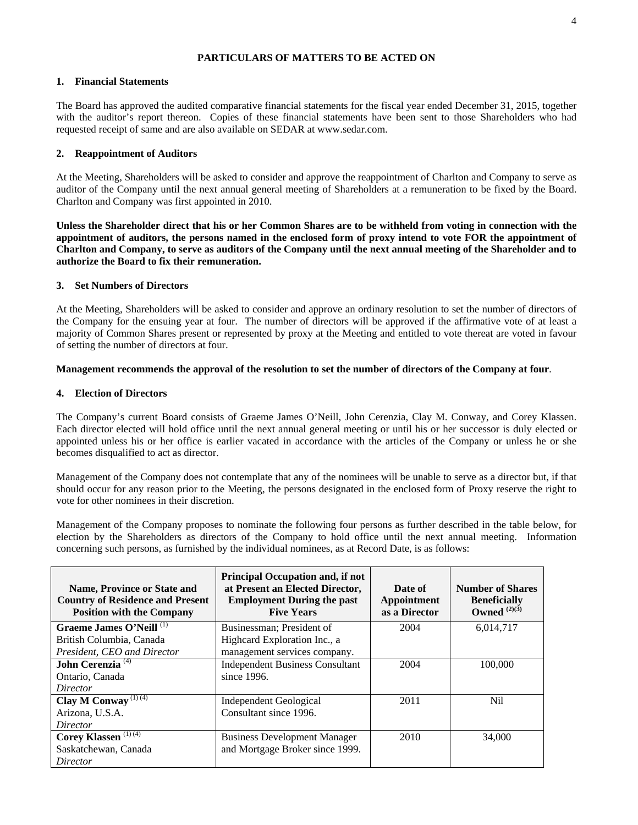# **PARTICULARS OF MATTERS TO BE ACTED ON**

# **1. Financial Statements**

The Board has approved the audited comparative financial statements for the fiscal year ended December 31, 2015, together with the auditor's report thereon. Copies of these financial statements have been sent to those Shareholders who had requested receipt of same and are also available on SEDAR at www.sedar.com.

# **2. Reappointment of Auditors**

At the Meeting, Shareholders will be asked to consider and approve the reappointment of Charlton and Company to serve as auditor of the Company until the next annual general meeting of Shareholders at a remuneration to be fixed by the Board. Charlton and Company was first appointed in 2010.

**Unless the Shareholder direct that his or her Common Shares are to be withheld from voting in connection with the appointment of auditors, the persons named in the enclosed form of proxy intend to vote FOR the appointment of Charlton and Company, to serve as auditors of the Company until the next annual meeting of the Shareholder and to authorize the Board to fix their remuneration.** 

# **3. Set Numbers of Directors**

At the Meeting, Shareholders will be asked to consider and approve an ordinary resolution to set the number of directors of the Company for the ensuing year at four. The number of directors will be approved if the affirmative vote of at least a majority of Common Shares present or represented by proxy at the Meeting and entitled to vote thereat are voted in favour of setting the number of directors at four.

# **Management recommends the approval of the resolution to set the number of directors of the Company at four**.

# **4. Election of Directors**

The Company's current Board consists of Graeme James O'Neill, John Cerenzia, Clay M. Conway, and Corey Klassen. Each director elected will hold office until the next annual general meeting or until his or her successor is duly elected or appointed unless his or her office is earlier vacated in accordance with the articles of the Company or unless he or she becomes disqualified to act as director.

Management of the Company does not contemplate that any of the nominees will be unable to serve as a director but, if that should occur for any reason prior to the Meeting, the persons designated in the enclosed form of Proxy reserve the right to vote for other nominees in their discretion.

Management of the Company proposes to nominate the following four persons as further described in the table below, for election by the Shareholders as directors of the Company to hold office until the next annual meeting. Information concerning such persons, as furnished by the individual nominees, as at Record Date, is as follows:

| <b>Name, Province or State and</b><br><b>Country of Residence and Present</b><br><b>Position with the Company</b> | <b>Principal Occupation and, if not</b><br>at Present an Elected Director,<br><b>Employment During the past</b><br><b>Five Years</b> | Date of<br>Appointment<br>as a Director | <b>Number of Shares</b><br><b>Beneficially</b><br>Owned $^{(2)(3)}$ |
|-------------------------------------------------------------------------------------------------------------------|--------------------------------------------------------------------------------------------------------------------------------------|-----------------------------------------|---------------------------------------------------------------------|
| Graeme James O'Neill <sup>(1)</sup>                                                                               | Businessman; President of                                                                                                            | 2004                                    | 6,014,717                                                           |
| British Columbia, Canada                                                                                          | Highcard Exploration Inc., a                                                                                                         |                                         |                                                                     |
| President, CEO and Director                                                                                       | management services company.                                                                                                         |                                         |                                                                     |
| John Cerenzia <sup>(4)</sup>                                                                                      | <b>Independent Business Consultant</b>                                                                                               | 2004                                    | 100,000                                                             |
| Ontario, Canada                                                                                                   | since 1996.                                                                                                                          |                                         |                                                                     |
| Director                                                                                                          |                                                                                                                                      |                                         |                                                                     |
| Clay M Conway <sup>(1)(4)</sup>                                                                                   | Independent Geological                                                                                                               | 2011                                    | Nil                                                                 |
| Arizona, U.S.A.                                                                                                   | Consultant since 1996.                                                                                                               |                                         |                                                                     |
| Director                                                                                                          |                                                                                                                                      |                                         |                                                                     |
| Corey Klassen <sup>(1)(4)</sup>                                                                                   | <b>Business Development Manager</b>                                                                                                  | 2010                                    | 34,000                                                              |
| Saskatchewan, Canada                                                                                              | and Mortgage Broker since 1999.                                                                                                      |                                         |                                                                     |
| Director                                                                                                          |                                                                                                                                      |                                         |                                                                     |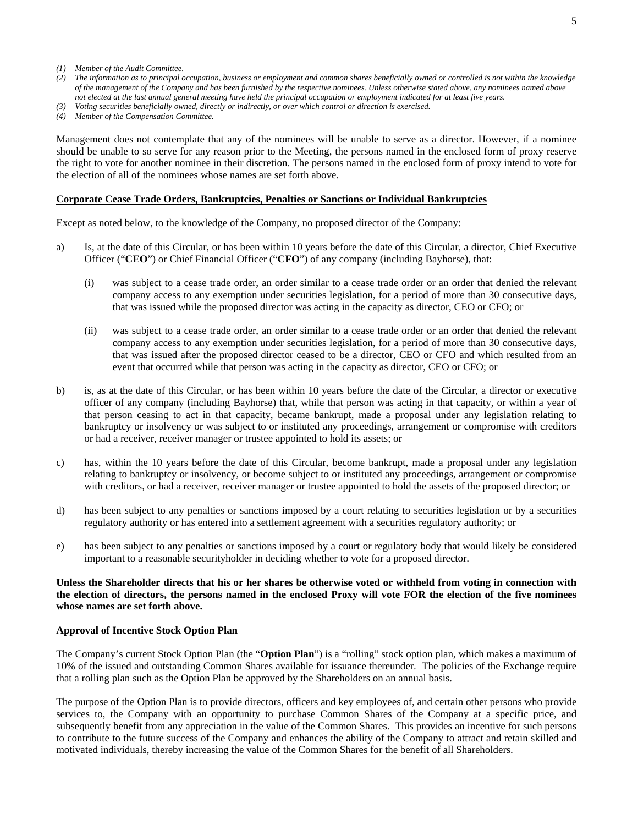- *(1) Member of the Audit Committee.*
- *(2) The information as to principal occupation, business or employment and common shares beneficially owned or controlled is not within the knowledge of the management of the Company and has been furnished by the respective nominees. Unless otherwise stated above, any nominees named above not elected at the last annual general meeting have held the principal occupation or employment indicated for at least five years.*
- *(3) Voting securities beneficially owned, directly or indirectly, or over which control or direction is exercised.*
- *(4) Member of the Compensation Committee.*

Management does not contemplate that any of the nominees will be unable to serve as a director. However, if a nominee should be unable to so serve for any reason prior to the Meeting, the persons named in the enclosed form of proxy reserve the right to vote for another nominee in their discretion. The persons named in the enclosed form of proxy intend to vote for the election of all of the nominees whose names are set forth above.

#### **Corporate Cease Trade Orders, Bankruptcies, Penalties or Sanctions or Individual Bankruptcies**

Except as noted below, to the knowledge of the Company, no proposed director of the Company:

- a) Is, at the date of this Circular, or has been within 10 years before the date of this Circular, a director, Chief Executive Officer ("**CEO**") or Chief Financial Officer ("**CFO**") of any company (including Bayhorse), that:
	- (i) was subject to a cease trade order, an order similar to a cease trade order or an order that denied the relevant company access to any exemption under securities legislation, for a period of more than 30 consecutive days, that was issued while the proposed director was acting in the capacity as director, CEO or CFO; or
	- (ii) was subject to a cease trade order, an order similar to a cease trade order or an order that denied the relevant company access to any exemption under securities legislation, for a period of more than 30 consecutive days, that was issued after the proposed director ceased to be a director, CEO or CFO and which resulted from an event that occurred while that person was acting in the capacity as director, CEO or CFO; or
- b) is, as at the date of this Circular, or has been within 10 years before the date of the Circular, a director or executive officer of any company (including Bayhorse) that, while that person was acting in that capacity, or within a year of that person ceasing to act in that capacity, became bankrupt, made a proposal under any legislation relating to bankruptcy or insolvency or was subject to or instituted any proceedings, arrangement or compromise with creditors or had a receiver, receiver manager or trustee appointed to hold its assets; or
- c) has, within the 10 years before the date of this Circular, become bankrupt, made a proposal under any legislation relating to bankruptcy or insolvency, or become subject to or instituted any proceedings, arrangement or compromise with creditors, or had a receiver, receiver manager or trustee appointed to hold the assets of the proposed director; or
- d) has been subject to any penalties or sanctions imposed by a court relating to securities legislation or by a securities regulatory authority or has entered into a settlement agreement with a securities regulatory authority; or
- e) has been subject to any penalties or sanctions imposed by a court or regulatory body that would likely be considered important to a reasonable securityholder in deciding whether to vote for a proposed director.

# **Unless the Shareholder directs that his or her shares be otherwise voted or withheld from voting in connection with the election of directors, the persons named in the enclosed Proxy will vote FOR the election of the five nominees whose names are set forth above.**

# **Approval of Incentive Stock Option Plan**

The Company's current Stock Option Plan (the "**Option Plan**") is a "rolling" stock option plan, which makes a maximum of 10% of the issued and outstanding Common Shares available for issuance thereunder. The policies of the Exchange require that a rolling plan such as the Option Plan be approved by the Shareholders on an annual basis.

The purpose of the Option Plan is to provide directors, officers and key employees of, and certain other persons who provide services to, the Company with an opportunity to purchase Common Shares of the Company at a specific price, and subsequently benefit from any appreciation in the value of the Common Shares. This provides an incentive for such persons to contribute to the future success of the Company and enhances the ability of the Company to attract and retain skilled and motivated individuals, thereby increasing the value of the Common Shares for the benefit of all Shareholders.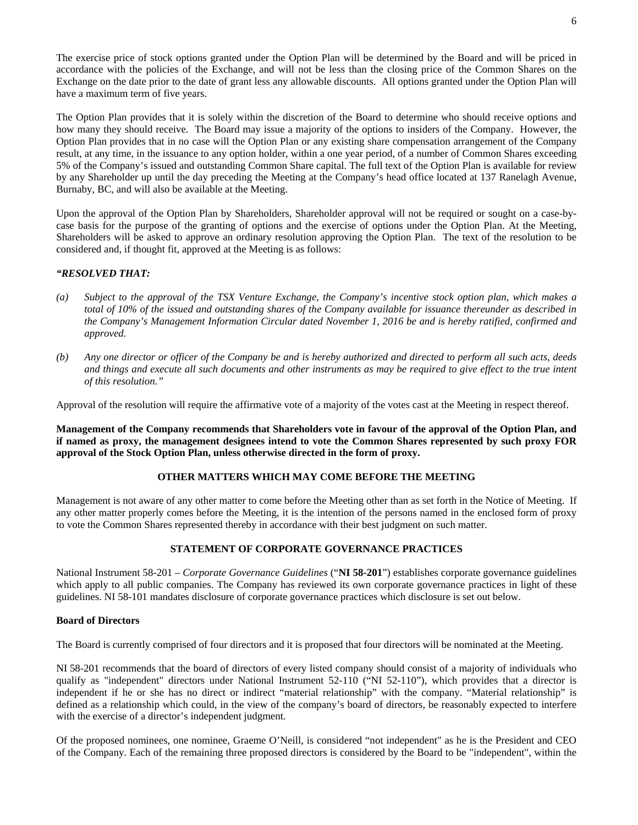The exercise price of stock options granted under the Option Plan will be determined by the Board and will be priced in accordance with the policies of the Exchange, and will not be less than the closing price of the Common Shares on the Exchange on the date prior to the date of grant less any allowable discounts. All options granted under the Option Plan will have a maximum term of five years.

The Option Plan provides that it is solely within the discretion of the Board to determine who should receive options and how many they should receive. The Board may issue a majority of the options to insiders of the Company. However, the Option Plan provides that in no case will the Option Plan or any existing share compensation arrangement of the Company result, at any time, in the issuance to any option holder, within a one year period, of a number of Common Shares exceeding 5% of the Company's issued and outstanding Common Share capital. The full text of the Option Plan is available for review by any Shareholder up until the day preceding the Meeting at the Company's head office located at 137 Ranelagh Avenue, Burnaby, BC, and will also be available at the Meeting.

Upon the approval of the Option Plan by Shareholders, Shareholder approval will not be required or sought on a case-bycase basis for the purpose of the granting of options and the exercise of options under the Option Plan. At the Meeting, Shareholders will be asked to approve an ordinary resolution approving the Option Plan. The text of the resolution to be considered and, if thought fit, approved at the Meeting is as follows:

# *"RESOLVED THAT:*

- *(a) Subject to the approval of the TSX Venture Exchange, the Company's incentive stock option plan, which makes a total of 10% of the issued and outstanding shares of the Company available for issuance thereunder as described in the Company's Management Information Circular dated November 1, 2016 be and is hereby ratified, confirmed and approved.*
- *(b) Any one director or officer of the Company be and is hereby authorized and directed to perform all such acts, deeds and things and execute all such documents and other instruments as may be required to give effect to the true intent of this resolution."*

Approval of the resolution will require the affirmative vote of a majority of the votes cast at the Meeting in respect thereof.

**Management of the Company recommends that Shareholders vote in favour of the approval of the Option Plan, and if named as proxy, the management designees intend to vote the Common Shares represented by such proxy FOR approval of the Stock Option Plan, unless otherwise directed in the form of proxy.** 

# **OTHER MATTERS WHICH MAY COME BEFORE THE MEETING**

Management is not aware of any other matter to come before the Meeting other than as set forth in the Notice of Meeting. If any other matter properly comes before the Meeting, it is the intention of the persons named in the enclosed form of proxy to vote the Common Shares represented thereby in accordance with their best judgment on such matter.

# **STATEMENT OF CORPORATE GOVERNANCE PRACTICES**

National Instrument 58-201 – *Corporate Governance Guidelines* ("**NI 58-201**") establishes corporate governance guidelines which apply to all public companies. The Company has reviewed its own corporate governance practices in light of these guidelines. NI 58-101 mandates disclosure of corporate governance practices which disclosure is set out below.

# **Board of Directors**

The Board is currently comprised of four directors and it is proposed that four directors will be nominated at the Meeting.

NI 58-201 recommends that the board of directors of every listed company should consist of a majority of individuals who qualify as "independent" directors under National Instrument 52-110 ("NI 52-110"), which provides that a director is independent if he or she has no direct or indirect "material relationship" with the company. "Material relationship" is defined as a relationship which could, in the view of the company's board of directors, be reasonably expected to interfere with the exercise of a director's independent judgment.

Of the proposed nominees, one nominee, Graeme O'Neill, is considered "not independent" as he is the President and CEO of the Company. Each of the remaining three proposed directors is considered by the Board to be "independent", within the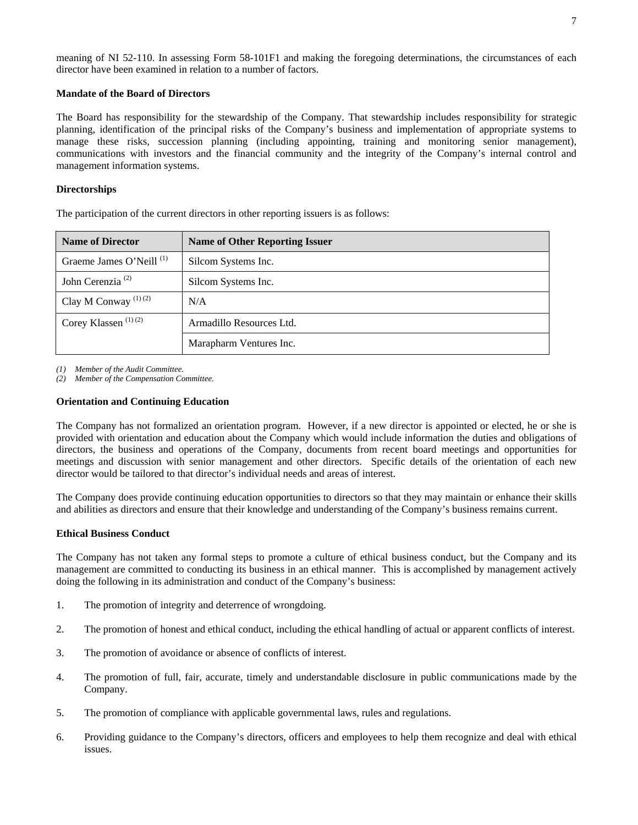meaning of NI 52-110. In assessing Form 58-101F1 and making the foregoing determinations, the circumstances of each director have been examined in relation to a number of factors.

# **Mandate of the Board of Directors**

The Board has responsibility for the stewardship of the Company. That stewardship includes responsibility for strategic planning, identification of the principal risks of the Company's business and implementation of appropriate systems to manage these risks, succession planning (including appointing, training and monitoring senior management), communications with investors and the financial community and the integrity of the Company's internal control and management information systems.

# **Directorships**

The participation of the current directors in other reporting issuers is as follows:

| <b>Name of Director</b>             | <b>Name of Other Reporting Issuer</b> |  |  |
|-------------------------------------|---------------------------------------|--|--|
| Graeme James O'Neill <sup>(1)</sup> | Silcom Systems Inc.                   |  |  |
| John Cerenzia <sup>(2)</sup>        | Silcom Systems Inc.                   |  |  |
| Clay M Conway $(1)(2)$              | N/A                                   |  |  |
| Corey Klassen <sup>(1)(2)</sup>     | Armadillo Resources Ltd.              |  |  |
|                                     | Marapharm Ventures Inc.               |  |  |

*(1) Member of the Audit Committee.* 

*(2) Member of the Compensation Committee.* 

# **Orientation and Continuing Education**

The Company has not formalized an orientation program. However, if a new director is appointed or elected, he or she is provided with orientation and education about the Company which would include information the duties and obligations of directors, the business and operations of the Company, documents from recent board meetings and opportunities for meetings and discussion with senior management and other directors. Specific details of the orientation of each new director would be tailored to that director's individual needs and areas of interest.

The Company does provide continuing education opportunities to directors so that they may maintain or enhance their skills and abilities as directors and ensure that their knowledge and understanding of the Company's business remains current.

# **Ethical Business Conduct**

The Company has not taken any formal steps to promote a culture of ethical business conduct, but the Company and its management are committed to conducting its business in an ethical manner. This is accomplished by management actively doing the following in its administration and conduct of the Company's business:

- 1. The promotion of integrity and deterrence of wrongdoing.
- 2. The promotion of honest and ethical conduct, including the ethical handling of actual or apparent conflicts of interest.
- 3. The promotion of avoidance or absence of conflicts of interest.
- 4. The promotion of full, fair, accurate, timely and understandable disclosure in public communications made by the Company.
- 5. The promotion of compliance with applicable governmental laws, rules and regulations.
- 6. Providing guidance to the Company's directors, officers and employees to help them recognize and deal with ethical issues.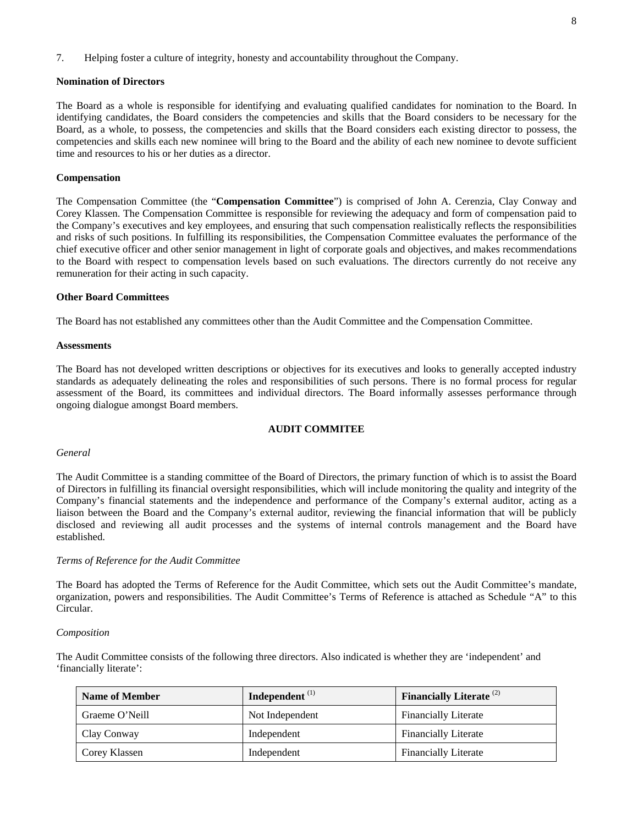#### **Nomination of Directors**

The Board as a whole is responsible for identifying and evaluating qualified candidates for nomination to the Board. In identifying candidates, the Board considers the competencies and skills that the Board considers to be necessary for the Board, as a whole, to possess, the competencies and skills that the Board considers each existing director to possess, the competencies and skills each new nominee will bring to the Board and the ability of each new nominee to devote sufficient time and resources to his or her duties as a director.

# **Compensation**

The Compensation Committee (the "**Compensation Committee**") is comprised of John A. Cerenzia, Clay Conway and Corey Klassen. The Compensation Committee is responsible for reviewing the adequacy and form of compensation paid to the Company's executives and key employees, and ensuring that such compensation realistically reflects the responsibilities and risks of such positions. In fulfilling its responsibilities, the Compensation Committee evaluates the performance of the chief executive officer and other senior management in light of corporate goals and objectives, and makes recommendations to the Board with respect to compensation levels based on such evaluations. The directors currently do not receive any remuneration for their acting in such capacity.

### **Other Board Committees**

The Board has not established any committees other than the Audit Committee and the Compensation Committee.

#### **Assessments**

The Board has not developed written descriptions or objectives for its executives and looks to generally accepted industry standards as adequately delineating the roles and responsibilities of such persons. There is no formal process for regular assessment of the Board, its committees and individual directors. The Board informally assesses performance through ongoing dialogue amongst Board members.

# **AUDIT COMMITEE**

#### *General*

The Audit Committee is a standing committee of the Board of Directors, the primary function of which is to assist the Board of Directors in fulfilling its financial oversight responsibilities, which will include monitoring the quality and integrity of the Company's financial statements and the independence and performance of the Company's external auditor, acting as a liaison between the Board and the Company's external auditor, reviewing the financial information that will be publicly disclosed and reviewing all audit processes and the systems of internal controls management and the Board have established.

#### *Terms of Reference for the Audit Committee*

The Board has adopted the Terms of Reference for the Audit Committee, which sets out the Audit Committee's mandate, organization, powers and responsibilities. The Audit Committee's Terms of Reference is attached as Schedule "A" to this Circular.

#### *Composition*

The Audit Committee consists of the following three directors. Also indicated is whether they are 'independent' and 'financially literate':

| <b>Name of Member</b> | Independent $(1)$ | <b>Financially Literate</b> <sup>(2)</sup> |
|-----------------------|-------------------|--------------------------------------------|
| Graeme O'Neill        | Not Independent   | <b>Financially Literate</b>                |
| Clay Conway           | Independent       | <b>Financially Literate</b>                |
| Corey Klassen         | Independent       | <b>Financially Literate</b>                |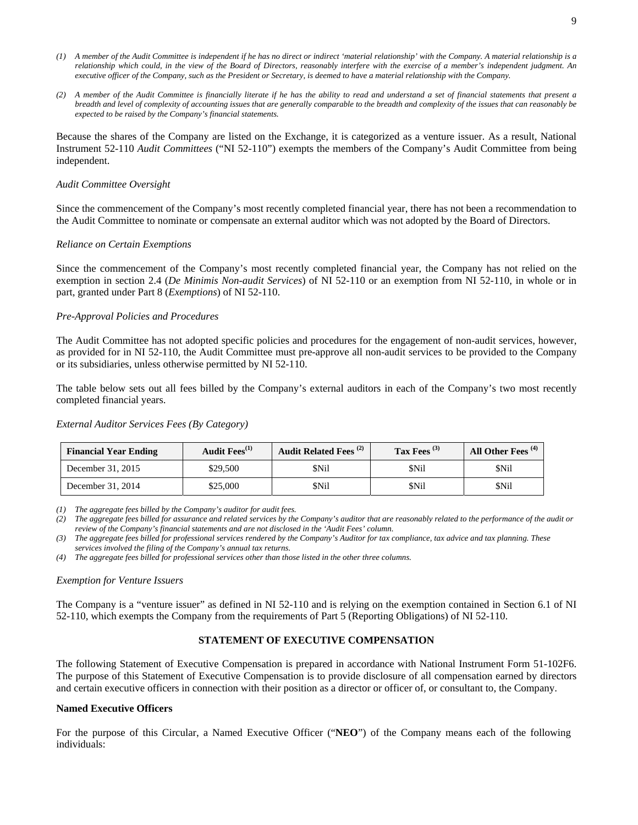- *(1) A member of the Audit Committee is independent if he has no direct or indirect 'material relationship' with the Company. A material relationship is a relationship which could, in the view of the Board of Directors, reasonably interfere with the exercise of a member's independent judgment. An executive officer of the Company, such as the President or Secretary, is deemed to have a material relationship with the Company.*
- *(2) A member of the Audit Committee is financially literate if he has the ability to read and understand a set of financial statements that present a breadth and level of complexity of accounting issues that are generally comparable to the breadth and complexity of the issues that can reasonably be expected to be raised by the Company's financial statements.*

Because the shares of the Company are listed on the Exchange, it is categorized as a venture issuer. As a result, National Instrument 52-110 *Audit Committees* ("NI 52-110") exempts the members of the Company's Audit Committee from being independent.

### *Audit Committee Oversight*

Since the commencement of the Company's most recently completed financial year, there has not been a recommendation to the Audit Committee to nominate or compensate an external auditor which was not adopted by the Board of Directors.

#### *Reliance on Certain Exemptions*

Since the commencement of the Company's most recently completed financial year, the Company has not relied on the exemption in section 2.4 (*De Minimis Non-audit Services*) of NI 52-110 or an exemption from NI 52-110, in whole or in part, granted under Part 8 (*Exemptions*) of NI 52-110.

#### *Pre-Approval Policies and Procedures*

The Audit Committee has not adopted specific policies and procedures for the engagement of non-audit services, however, as provided for in NI 52-110, the Audit Committee must pre-approve all non-audit services to be provided to the Company or its subsidiaries, unless otherwise permitted by NI 52-110.

The table below sets out all fees billed by the Company's external auditors in each of the Company's two most recently completed financial years.

#### *External Auditor Services Fees (By Category)*

| <b>Financial Year Ending</b> | Audit Fees <sup>(1)</sup> | Audit Related Fees <sup>(2)</sup> | Tax Fees $(3)$ | All Other Fees <sup>(4)</sup> |
|------------------------------|---------------------------|-----------------------------------|----------------|-------------------------------|
| December 31, 2015            | \$29,500                  | \$Nil                             | <b>SNil</b>    | \$Nil                         |
| December 31, 2014            | \$25.000                  | \$Nil                             | \$Nil          | <b>SNil</b>                   |

*(1) The aggregate fees billed by the Company's auditor for audit fees.* 

*(2) The aggregate fees billed for assurance and related services by the Company's auditor that are reasonably related to the performance of the audit or review of the Company's financial statements and are not disclosed in the 'Audit Fees' column.* 

*(3) The aggregate fees billed for professional services rendered by the Company's Auditor for tax compliance, tax advice and tax planning. These services involved the filing of the Company's annual tax returns.* 

*(4) The aggregate fees billed for professional services other than those listed in the other three columns.* 

#### *Exemption for Venture Issuers*

The Company is a "venture issuer" as defined in NI 52-110 and is relying on the exemption contained in Section 6.1 of NI 52-110, which exempts the Company from the requirements of Part 5 (Reporting Obligations) of NI 52-110.

# **STATEMENT OF EXECUTIVE COMPENSATION**

The following Statement of Executive Compensation is prepared in accordance with National Instrument Form 51-102F6. The purpose of this Statement of Executive Compensation is to provide disclosure of all compensation earned by directors and certain executive officers in connection with their position as a director or officer of, or consultant to, the Company.

# **Named Executive Officers**

For the purpose of this Circular, a Named Executive Officer ("**NEO**") of the Company means each of the following individuals: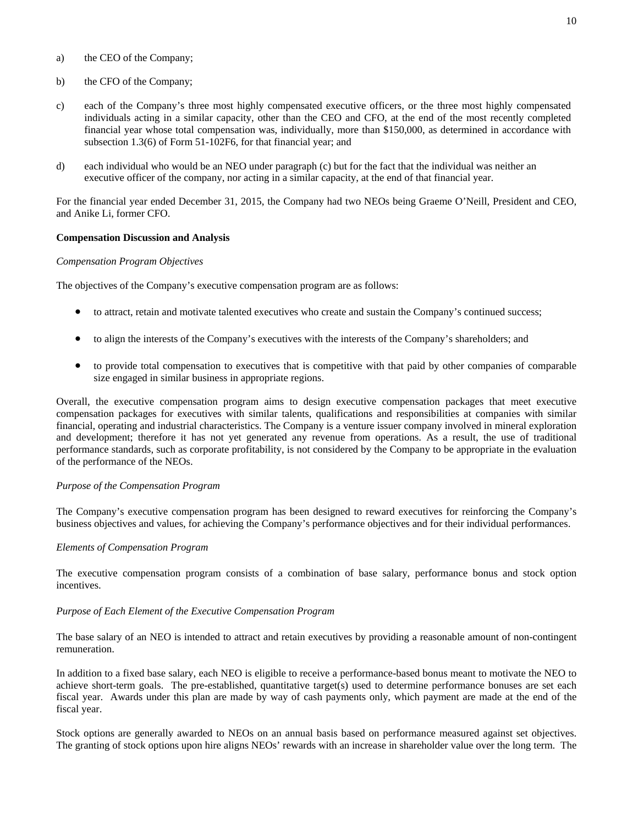- a) the CEO of the Company;
- b) the CFO of the Company;
- c) each of the Company's three most highly compensated executive officers, or the three most highly compensated individuals acting in a similar capacity, other than the CEO and CFO, at the end of the most recently completed financial year whose total compensation was, individually, more than \$150,000, as determined in accordance with subsection 1.3(6) of Form 51-102F6, for that financial year; and
- d) each individual who would be an NEO under paragraph (c) but for the fact that the individual was neither an executive officer of the company, nor acting in a similar capacity, at the end of that financial year.

For the financial year ended December 31, 2015, the Company had two NEOs being Graeme O'Neill, President and CEO, and Anike Li, former CFO.

# **Compensation Discussion and Analysis**

# *Compensation Program Objectives*

The objectives of the Company's executive compensation program are as follows:

- to attract, retain and motivate talented executives who create and sustain the Company's continued success;
- to align the interests of the Company's executives with the interests of the Company's shareholders; and
- to provide total compensation to executives that is competitive with that paid by other companies of comparable size engaged in similar business in appropriate regions.

Overall, the executive compensation program aims to design executive compensation packages that meet executive compensation packages for executives with similar talents, qualifications and responsibilities at companies with similar financial, operating and industrial characteristics. The Company is a venture issuer company involved in mineral exploration and development; therefore it has not yet generated any revenue from operations. As a result, the use of traditional performance standards, such as corporate profitability, is not considered by the Company to be appropriate in the evaluation of the performance of the NEOs.

# *Purpose of the Compensation Program*

The Company's executive compensation program has been designed to reward executives for reinforcing the Company's business objectives and values, for achieving the Company's performance objectives and for their individual performances.

# *Elements of Compensation Program*

The executive compensation program consists of a combination of base salary, performance bonus and stock option incentives.

# *Purpose of Each Element of the Executive Compensation Program*

The base salary of an NEO is intended to attract and retain executives by providing a reasonable amount of non-contingent remuneration.

In addition to a fixed base salary, each NEO is eligible to receive a performance-based bonus meant to motivate the NEO to achieve short-term goals. The pre-established, quantitative target(s) used to determine performance bonuses are set each fiscal year. Awards under this plan are made by way of cash payments only, which payment are made at the end of the fiscal year.

Stock options are generally awarded to NEOs on an annual basis based on performance measured against set objectives. The granting of stock options upon hire aligns NEOs' rewards with an increase in shareholder value over the long term. The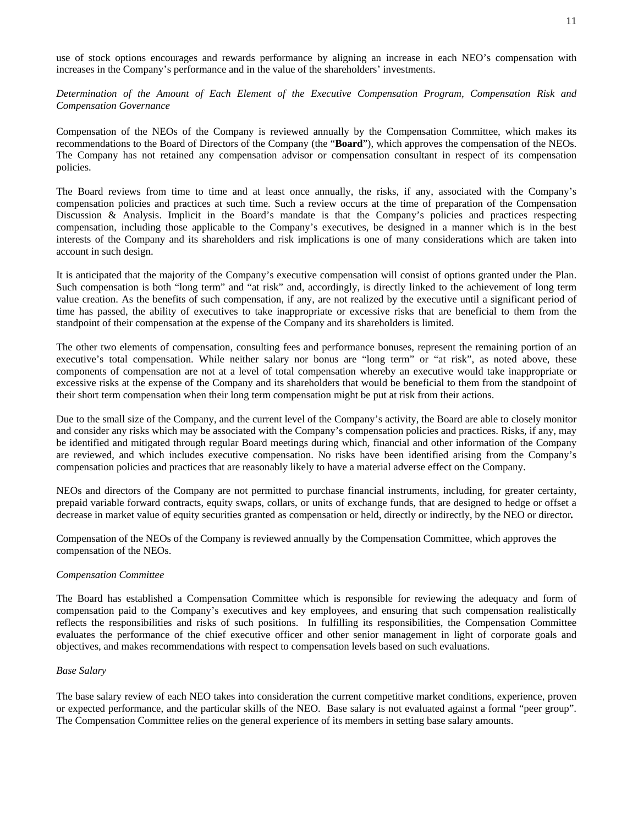use of stock options encourages and rewards performance by aligning an increase in each NEO's compensation with increases in the Company's performance and in the value of the shareholders' investments.

*Determination of the Amount of Each Element of the Executive Compensation Program, Compensation Risk and Compensation Governance* 

Compensation of the NEOs of the Company is reviewed annually by the Compensation Committee, which makes its recommendations to the Board of Directors of the Company (the "**Board**"), which approves the compensation of the NEOs. The Company has not retained any compensation advisor or compensation consultant in respect of its compensation policies.

The Board reviews from time to time and at least once annually, the risks, if any, associated with the Company's compensation policies and practices at such time. Such a review occurs at the time of preparation of the Compensation Discussion & Analysis. Implicit in the Board's mandate is that the Company's policies and practices respecting compensation, including those applicable to the Company's executives, be designed in a manner which is in the best interests of the Company and its shareholders and risk implications is one of many considerations which are taken into account in such design.

It is anticipated that the majority of the Company's executive compensation will consist of options granted under the Plan. Such compensation is both "long term" and "at risk" and, accordingly, is directly linked to the achievement of long term value creation. As the benefits of such compensation, if any, are not realized by the executive until a significant period of time has passed, the ability of executives to take inappropriate or excessive risks that are beneficial to them from the standpoint of their compensation at the expense of the Company and its shareholders is limited.

The other two elements of compensation, consulting fees and performance bonuses, represent the remaining portion of an executive's total compensation. While neither salary nor bonus are "long term" or "at risk", as noted above, these components of compensation are not at a level of total compensation whereby an executive would take inappropriate or excessive risks at the expense of the Company and its shareholders that would be beneficial to them from the standpoint of their short term compensation when their long term compensation might be put at risk from their actions.

Due to the small size of the Company, and the current level of the Company's activity, the Board are able to closely monitor and consider any risks which may be associated with the Company's compensation policies and practices. Risks, if any, may be identified and mitigated through regular Board meetings during which, financial and other information of the Company are reviewed, and which includes executive compensation. No risks have been identified arising from the Company's compensation policies and practices that are reasonably likely to have a material adverse effect on the Company.

NEOs and directors of the Company are not permitted to purchase financial instruments, including, for greater certainty, prepaid variable forward contracts, equity swaps, collars, or units of exchange funds, that are designed to hedge or offset a decrease in market value of equity securities granted as compensation or held, directly or indirectly, by the NEO or director*.*

Compensation of the NEOs of the Company is reviewed annually by the Compensation Committee, which approves the compensation of the NEOs.

#### *Compensation Committee*

The Board has established a Compensation Committee which is responsible for reviewing the adequacy and form of compensation paid to the Company's executives and key employees, and ensuring that such compensation realistically reflects the responsibilities and risks of such positions. In fulfilling its responsibilities, the Compensation Committee evaluates the performance of the chief executive officer and other senior management in light of corporate goals and objectives, and makes recommendations with respect to compensation levels based on such evaluations.

# *Base Salary*

The base salary review of each NEO takes into consideration the current competitive market conditions, experience, proven or expected performance, and the particular skills of the NEO. Base salary is not evaluated against a formal "peer group". The Compensation Committee relies on the general experience of its members in setting base salary amounts.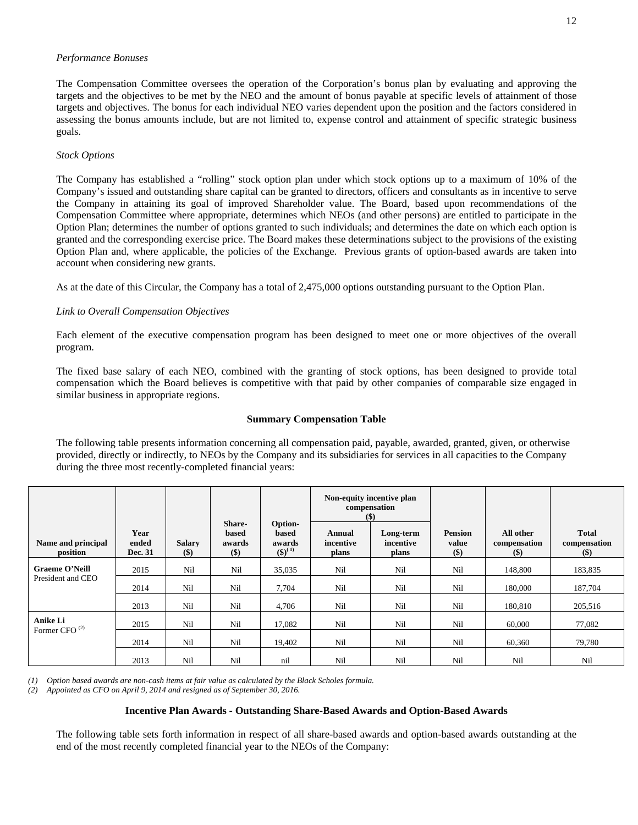# *Performance Bonuses*

The Compensation Committee oversees the operation of the Corporation's bonus plan by evaluating and approving the targets and the objectives to be met by the NEO and the amount of bonus payable at specific levels of attainment of those targets and objectives. The bonus for each individual NEO varies dependent upon the position and the factors considered in assessing the bonus amounts include, but are not limited to, expense control and attainment of specific strategic business goals.

# *Stock Options*

The Company has established a "rolling" stock option plan under which stock options up to a maximum of 10% of the Company's issued and outstanding share capital can be granted to directors, officers and consultants as in incentive to serve the Company in attaining its goal of improved Shareholder value. The Board, based upon recommendations of the Compensation Committee where appropriate, determines which NEOs (and other persons) are entitled to participate in the Option Plan; determines the number of options granted to such individuals; and determines the date on which each option is granted and the corresponding exercise price. The Board makes these determinations subject to the provisions of the existing Option Plan and, where applicable, the policies of the Exchange. Previous grants of option-based awards are taken into account when considering new grants.

As at the date of this Circular, the Company has a total of 2,475,000 options outstanding pursuant to the Option Plan.

# *Link to Overall Compensation Objectives*

Each element of the executive compensation program has been designed to meet one or more objectives of the overall program.

The fixed base salary of each NEO, combined with the granting of stock options, has been designed to provide total compensation which the Board believes is competitive with that paid by other companies of comparable size engaged in similar business in appropriate regions.

# **Summary Compensation Table**

The following table presents information concerning all compensation paid, payable, awarded, granted, given, or otherwise provided, directly or indirectly, to NEOs by the Company and its subsidiaries for services in all capacities to the Company during the three most recently-completed financial years:

|                                |                          |                         |                                                               |                                              |                              | Non-equity incentive plan<br>compensation<br>$($)$ |                                   |                                     |                                       |
|--------------------------------|--------------------------|-------------------------|---------------------------------------------------------------|----------------------------------------------|------------------------------|----------------------------------------------------|-----------------------------------|-------------------------------------|---------------------------------------|
| Name and principal<br>position | Year<br>ended<br>Dec. 31 | <b>Salary</b><br>$(\$)$ | <b>Share-</b><br>based<br>awards<br>$\left( \text{\$}\right)$ | Option-<br>based<br>awards<br>$({\$})^{(1)}$ | Annual<br>incentive<br>plans | Long-term<br>incentive<br>plans                    | <b>Pension</b><br>value<br>$(\$)$ | All other<br>compensation<br>$(\$)$ | <b>Total</b><br>compensation<br>$($)$ |
| <b>Graeme O'Neill</b>          | 2015                     | Nil                     | Nil                                                           | 35,035                                       | Nil                          | Nil                                                | Nil                               | 148,800                             | 183,835                               |
| President and CEO              | 2014                     | Nil                     | Nil                                                           | 7,704                                        | Nil                          | Nil                                                | Nil                               | 180,000                             | 187,704                               |
|                                | 2013                     | Nil                     | Nil                                                           | 4,706                                        | Nil                          | Nil                                                | Nil                               | 180,810                             | 205,516                               |
| Anike Li                       | 2015                     | Nil                     | Nil                                                           | 17,082                                       | Nil                          | Nil                                                | Nil                               | 60,000                              | 77,082                                |
| Former CFO <sup>(2)</sup>      | 2014                     | Nil                     | Nil                                                           | 19,402                                       | Nil                          | Nil                                                | Nil                               | 60,360                              | 79,780                                |
|                                | 2013                     | Nil                     | Nil                                                           | nil                                          | Nil                          | Nil                                                | Nil                               | Nil                                 | Nil                                   |

*(1) Option based awards are non-cash items at fair value as calculated by the Black Scholes formula.* 

*(2) Appointed as CFO on April 9, 2014 and resigned as of September 30, 2016.* 

# **Incentive Plan Awards - Outstanding Share-Based Awards and Option-Based Awards**

The following table sets forth information in respect of all share-based awards and option-based awards outstanding at the end of the most recently completed financial year to the NEOs of the Company: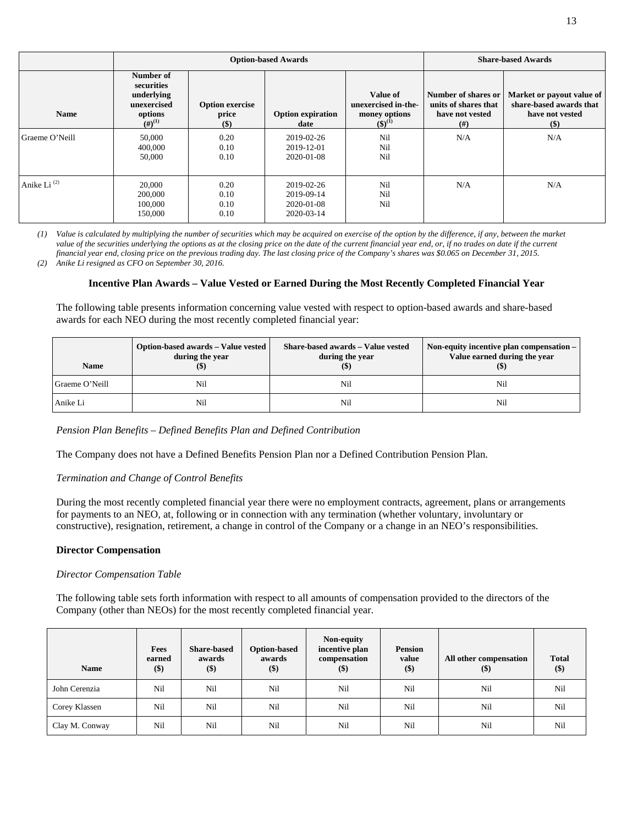|                         |                                                                            | <b>Option-based Awards</b>                 |                                                      | <b>Share-based Awards</b>                                             |                                                                        |                                                                                   |
|-------------------------|----------------------------------------------------------------------------|--------------------------------------------|------------------------------------------------------|-----------------------------------------------------------------------|------------------------------------------------------------------------|-----------------------------------------------------------------------------------|
| <b>Name</b>             | Number of<br>securities<br>underlying<br>unexercised<br>options<br>(f#(1)) | <b>Option exercise</b><br>price<br>$($ \$) | <b>Option expiration</b><br>date                     | Value of<br>unexercised in-the-<br>money options<br>$({\bf 5})^{(1)}$ | Number of shares or<br>units of shares that<br>have not vested<br>(# ) | Market or payout value of<br>share-based awards that<br>have not vested<br>$(\$)$ |
| Graeme O'Neill          | 50,000<br>400,000<br>50,000                                                | 0.20<br>0.10<br>0.10                       | 2019-02-26<br>2019-12-01<br>2020-01-08               | Nil<br>Nil<br>Nil                                                     | N/A                                                                    | N/A                                                                               |
| Anike Li <sup>(2)</sup> | 20,000<br>200,000<br>100,000<br>150,000                                    | 0.20<br>0.10<br>0.10<br>0.10               | 2019-02-26<br>2019-09-14<br>2020-01-08<br>2020-03-14 | Nil<br>Nil<br>Nil                                                     | N/A                                                                    | N/A                                                                               |

*(1) Value is calculated by multiplying the number of securities which may be acquired on exercise of the option by the difference, if any, between the market*  value of the securities underlying the options as at the closing price on the date of the current financial year end, or, if no trades on date if the current *financial year end, closing price on the previous trading day. The last closing price of the Company's shares was \$0.065 on December 31, 2015.* 

*(2) Anike Li resigned as CFO on September 30, 2016.* 

# **Incentive Plan Awards – Value Vested or Earned During the Most Recently Completed Financial Year**

The following table presents information concerning value vested with respect to option-based awards and share-based awards for each NEO during the most recently completed financial year:

| Name           | Option-based awards - Value vested<br>during the year | Share-based awards - Value vested<br>during the year<br>$\left( \mathsf{S}\right)$ | Non-equity incentive plan compensation –<br>Value earned during the vear<br>$($ \$ |
|----------------|-------------------------------------------------------|------------------------------------------------------------------------------------|------------------------------------------------------------------------------------|
| Graeme O'Neill | Nil                                                   | Nil                                                                                | Nil                                                                                |
| Anike Li       | Nil                                                   | Nil                                                                                | Nil                                                                                |

# *Pension Plan Benefits – Defined Benefits Plan and Defined Contribution*

The Company does not have a Defined Benefits Pension Plan nor a Defined Contribution Pension Plan.

# *Termination and Change of Control Benefits*

During the most recently completed financial year there were no employment contracts, agreement, plans or arrangements for payments to an NEO, at, following or in connection with any termination (whether voluntary, involuntary or constructive), resignation, retirement, a change in control of the Company or a change in an NEO's responsibilities.

# **Director Compensation**

# *Director Compensation Table*

The following table sets forth information with respect to all amounts of compensation provided to the directors of the Company (other than NEOs) for the most recently completed financial year.

| <b>Name</b>    | Fees<br>earned<br>\$) | <b>Share-based</b><br>awards<br>$($)$ | <b>Option-based</b><br>awards<br>$($)$ | Non-equity<br>incentive plan<br>compensation<br>$(\$)$ | <b>Pension</b><br>value<br>$($)$ | All other compensation<br>$(\$)$ | <b>Total</b><br>$(\$)$ |
|----------------|-----------------------|---------------------------------------|----------------------------------------|--------------------------------------------------------|----------------------------------|----------------------------------|------------------------|
| John Cerenzia  | Nil                   | Nil                                   | Nil                                    | Nil                                                    | Nil                              | Nil                              | Nil                    |
| Corey Klassen  | Nil                   | Nil                                   | Nil                                    | Nil                                                    | Nil                              | Nil                              | Nil                    |
| Clay M. Conway | Nil                   | Nil                                   | Nil                                    | Nil                                                    | Nil                              | Nil                              | Nil                    |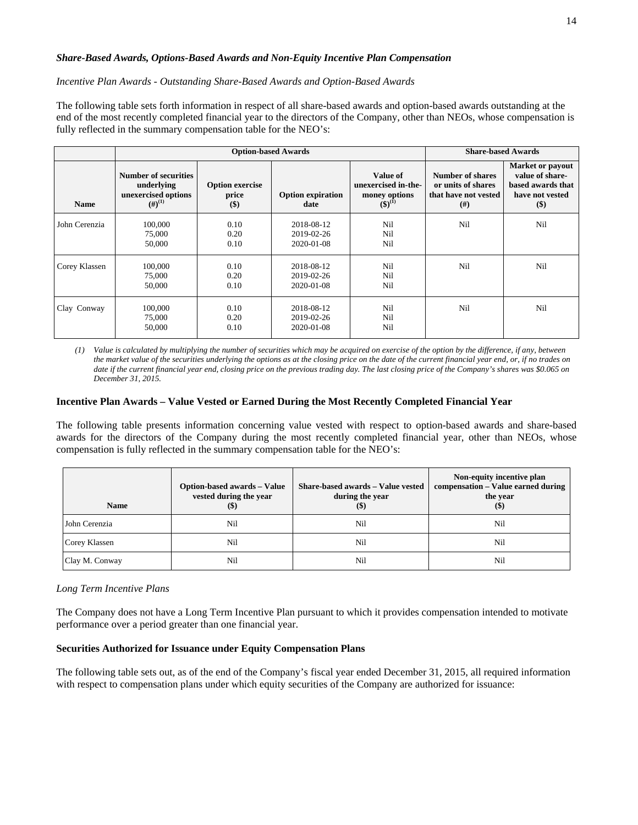# *Share-Based Awards, Options-Based Awards and Non-Equity Incentive Plan Compensation*

# *Incentive Plan Awards - Outstanding Share-Based Awards and Option-Based Awards*

The following table sets forth information in respect of all share-based awards and option-based awards outstanding at the end of the most recently completed financial year to the directors of the Company, other than NEOs, whose compensation is fully reflected in the summary compensation table for the NEO's:

|               |                                                                          | <b>Option-based Awards</b>               |                                        | <b>Share-based Awards</b>                                       |                                                                        |                                                                                        |
|---------------|--------------------------------------------------------------------------|------------------------------------------|----------------------------------------|-----------------------------------------------------------------|------------------------------------------------------------------------|----------------------------------------------------------------------------------------|
| <b>Name</b>   | Number of securities<br>underlying<br>unexercised options<br>$(H)^{(1)}$ | <b>Option exercise</b><br>price<br>$($)$ | <b>Option expiration</b><br>date       | Value of<br>unexercised in-the-<br>money options<br>$(5)^{(1)}$ | Number of shares<br>or units of shares<br>that have not vested<br>(# ) | Market or payout<br>value of share-<br>based awards that<br>have not vested<br>$($ \$) |
| John Cerenzia | 100,000<br>75,000<br>50,000                                              | 0.10<br>0.20<br>0.10                     | 2018-08-12<br>2019-02-26<br>2020-01-08 | Nil<br>Nil<br>Nil                                               | Nil                                                                    | Nil                                                                                    |
| Corey Klassen | 100,000<br>75,000<br>50,000                                              | 0.10<br>0.20<br>0.10                     | 2018-08-12<br>2019-02-26<br>2020-01-08 | Nil<br>Nil<br>Nil                                               | Nil                                                                    | Nil                                                                                    |
| Clay Conway   | 100,000<br>75,000<br>50,000                                              | 0.10<br>0.20<br>0.10                     | 2018-08-12<br>2019-02-26<br>2020-01-08 | Nil<br>Nil<br>Nil                                               | Nil                                                                    | Nil                                                                                    |

*(1) Value is calculated by multiplying the number of securities which may be acquired on exercise of the option by the difference, if any, between the market value of the securities underlying the options as at the closing price on the date of the current financial year end, or, if no trades on date if the current financial year end, closing price on the previous trading day. The last closing price of the Company's shares was \$0.065 on December 31, 2015.* 

# **Incentive Plan Awards – Value Vested or Earned During the Most Recently Completed Financial Year**

The following table presents information concerning value vested with respect to option-based awards and share-based awards for the directors of the Company during the most recently completed financial year, other than NEOs, whose compensation is fully reflected in the summary compensation table for the NEO's:

| <b>Name</b>    | Option-based awards - Value<br>vested during the year<br>$(\$)$ | Share-based awards - Value vested<br>during the year<br>$($ \$) | Non-equity incentive plan<br>compensation - Value earned during<br>the year<br>$(\$)$ |
|----------------|-----------------------------------------------------------------|-----------------------------------------------------------------|---------------------------------------------------------------------------------------|
| John Cerenzia  | Nil                                                             | Nil                                                             | Nil                                                                                   |
| Corey Klassen  | Nil                                                             | Nil                                                             | Nil                                                                                   |
| Clay M. Conway | Nil                                                             | Nil                                                             | Nil                                                                                   |

#### *Long Term Incentive Plans*

The Company does not have a Long Term Incentive Plan pursuant to which it provides compensation intended to motivate performance over a period greater than one financial year.

# **Securities Authorized for Issuance under Equity Compensation Plans**

The following table sets out, as of the end of the Company's fiscal year ended December 31, 2015, all required information with respect to compensation plans under which equity securities of the Company are authorized for issuance: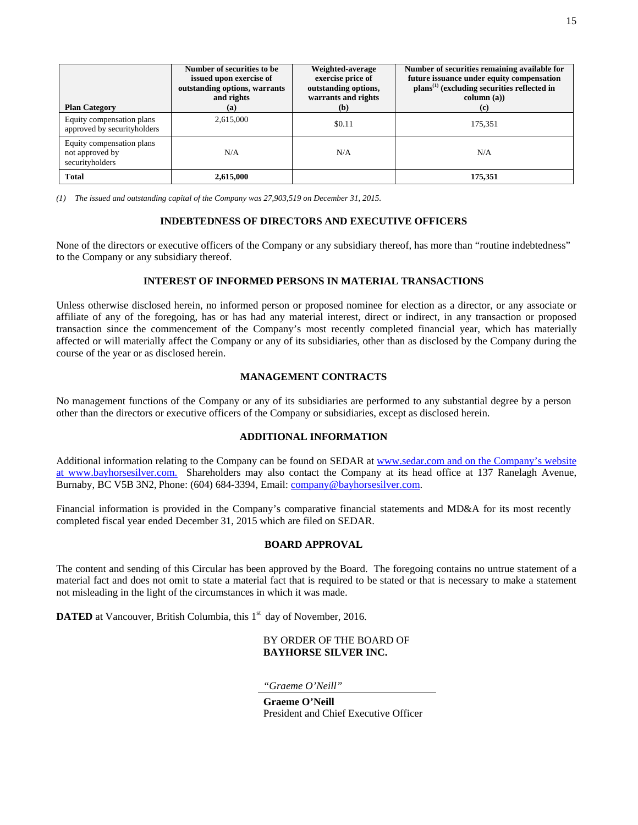| <b>Plan Category</b>                                            | Number of securities to be<br>issued upon exercise of<br>outstanding options, warrants<br>and rights<br>(a) | Weighted-average<br>exercise price of<br>outstanding options,<br>warrants and rights<br>(b) | Number of securities remaining available for<br>future issuance under equity compensation<br>$\mathbf{plans}^{(1)}$ (excluding securities reflected in<br>column (a))<br>(c) |
|-----------------------------------------------------------------|-------------------------------------------------------------------------------------------------------------|---------------------------------------------------------------------------------------------|------------------------------------------------------------------------------------------------------------------------------------------------------------------------------|
| Equity compensation plans<br>approved by securityholders        | 2,615,000                                                                                                   | \$0.11                                                                                      | 175,351                                                                                                                                                                      |
| Equity compensation plans<br>not approved by<br>securityholders | N/A                                                                                                         | N/A                                                                                         | N/A                                                                                                                                                                          |
| <b>Total</b>                                                    | 2,615,000                                                                                                   |                                                                                             | 175,351                                                                                                                                                                      |

*(1) The issued and outstanding capital of the Company was 27,903,519 on December 31, 2015.*

# **INDEBTEDNESS OF DIRECTORS AND EXECUTIVE OFFICERS**

None of the directors or executive officers of the Company or any subsidiary thereof, has more than "routine indebtedness" to the Company or any subsidiary thereof.

# **INTEREST OF INFORMED PERSONS IN MATERIAL TRANSACTIONS**

Unless otherwise disclosed herein, no informed person or proposed nominee for election as a director, or any associate or affiliate of any of the foregoing, has or has had any material interest, direct or indirect, in any transaction or proposed transaction since the commencement of the Company's most recently completed financial year, which has materially affected or will materially affect the Company or any of its subsidiaries, other than as disclosed by the Company during the course of the year or as disclosed herein.

# **MANAGEMENT CONTRACTS**

No management functions of the Company or any of its subsidiaries are performed to any substantial degree by a person other than the directors or executive officers of the Company or subsidiaries, except as disclosed herein.

# **ADDITIONAL INFORMATION**

Additional information relating to the Company can be found on SEDAR at www.sedar.com and on the Company's website at www.bayhorsesilver.com. Shareholders may also contact the Company at its head office at 137 Ranelagh Avenue, Burnaby, BC V5B 3N2, Phone: (604) 684-3394, Email: company@bayhorsesilver.com.

Financial information is provided in the Company's comparative financial statements and MD&A for its most recently completed fiscal year ended December 31, 2015 which are filed on SEDAR.

# **BOARD APPROVAL**

The content and sending of this Circular has been approved by the Board. The foregoing contains no untrue statement of a material fact and does not omit to state a material fact that is required to be stated or that is necessary to make a statement not misleading in the light of the circumstances in which it was made.

**DATED** at Vancouver, British Columbia, this 1<sup>st</sup> day of November, 2016.

BY ORDER OF THE BOARD OF **BAYHORSE SILVER INC.** 

*"Graeme O'Neill"*

**Graeme O'Neill** President and Chief Executive Officer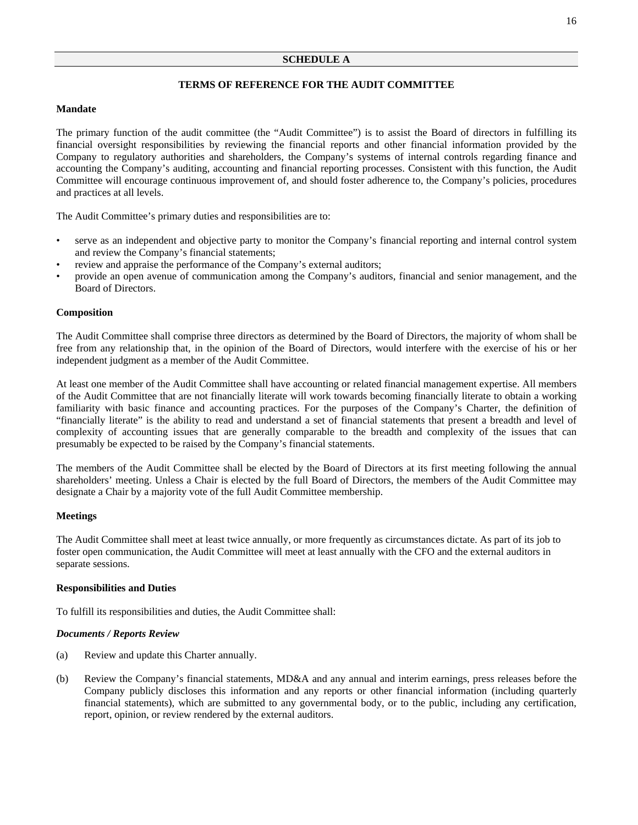# **TERMS OF REFERENCE FOR THE AUDIT COMMITTEE**

#### **Mandate**

The primary function of the audit committee (the "Audit Committee") is to assist the Board of directors in fulfilling its financial oversight responsibilities by reviewing the financial reports and other financial information provided by the Company to regulatory authorities and shareholders, the Company's systems of internal controls regarding finance and accounting the Company's auditing, accounting and financial reporting processes. Consistent with this function, the Audit Committee will encourage continuous improvement of, and should foster adherence to, the Company's policies, procedures and practices at all levels.

The Audit Committee's primary duties and responsibilities are to:

- serve as an independent and objective party to monitor the Company's financial reporting and internal control system and review the Company's financial statements;
- review and appraise the performance of the Company's external auditors;
- provide an open avenue of communication among the Company's auditors, financial and senior management, and the Board of Directors.

#### **Composition**

The Audit Committee shall comprise three directors as determined by the Board of Directors, the majority of whom shall be free from any relationship that, in the opinion of the Board of Directors, would interfere with the exercise of his or her independent judgment as a member of the Audit Committee.

At least one member of the Audit Committee shall have accounting or related financial management expertise. All members of the Audit Committee that are not financially literate will work towards becoming financially literate to obtain a working familiarity with basic finance and accounting practices. For the purposes of the Company's Charter, the definition of "financially literate" is the ability to read and understand a set of financial statements that present a breadth and level of complexity of accounting issues that are generally comparable to the breadth and complexity of the issues that can presumably be expected to be raised by the Company's financial statements.

The members of the Audit Committee shall be elected by the Board of Directors at its first meeting following the annual shareholders' meeting. Unless a Chair is elected by the full Board of Directors, the members of the Audit Committee may designate a Chair by a majority vote of the full Audit Committee membership.

#### **Meetings**

The Audit Committee shall meet at least twice annually, or more frequently as circumstances dictate. As part of its job to foster open communication, the Audit Committee will meet at least annually with the CFO and the external auditors in separate sessions.

#### **Responsibilities and Duties**

To fulfill its responsibilities and duties, the Audit Committee shall:

# *Documents / Reports Review*

- (a) Review and update this Charter annually.
- (b) Review the Company's financial statements, MD&A and any annual and interim earnings, press releases before the Company publicly discloses this information and any reports or other financial information (including quarterly financial statements), which are submitted to any governmental body, or to the public, including any certification, report, opinion, or review rendered by the external auditors.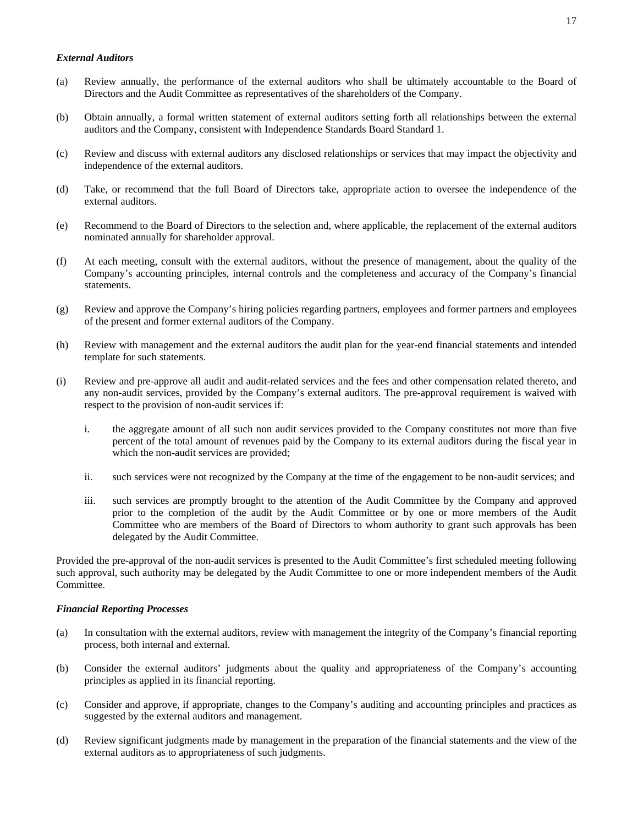# *External Auditors*

- (a) Review annually, the performance of the external auditors who shall be ultimately accountable to the Board of Directors and the Audit Committee as representatives of the shareholders of the Company.
- (b) Obtain annually, a formal written statement of external auditors setting forth all relationships between the external auditors and the Company, consistent with Independence Standards Board Standard 1.
- (c) Review and discuss with external auditors any disclosed relationships or services that may impact the objectivity and independence of the external auditors.
- (d) Take, or recommend that the full Board of Directors take, appropriate action to oversee the independence of the external auditors.
- (e) Recommend to the Board of Directors to the selection and, where applicable, the replacement of the external auditors nominated annually for shareholder approval.
- (f) At each meeting, consult with the external auditors, without the presence of management, about the quality of the Company's accounting principles, internal controls and the completeness and accuracy of the Company's financial statements.
- (g) Review and approve the Company's hiring policies regarding partners, employees and former partners and employees of the present and former external auditors of the Company.
- (h) Review with management and the external auditors the audit plan for the year-end financial statements and intended template for such statements.
- (i) Review and pre-approve all audit and audit-related services and the fees and other compensation related thereto, and any non-audit services, provided by the Company's external auditors. The pre-approval requirement is waived with respect to the provision of non-audit services if:
	- i. the aggregate amount of all such non audit services provided to the Company constitutes not more than five percent of the total amount of revenues paid by the Company to its external auditors during the fiscal year in which the non-audit services are provided;
	- ii. such services were not recognized by the Company at the time of the engagement to be non-audit services; and
	- iii. such services are promptly brought to the attention of the Audit Committee by the Company and approved prior to the completion of the audit by the Audit Committee or by one or more members of the Audit Committee who are members of the Board of Directors to whom authority to grant such approvals has been delegated by the Audit Committee.

Provided the pre-approval of the non-audit services is presented to the Audit Committee's first scheduled meeting following such approval, such authority may be delegated by the Audit Committee to one or more independent members of the Audit Committee.

# *Financial Reporting Processes*

- (a) In consultation with the external auditors, review with management the integrity of the Company's financial reporting process, both internal and external.
- (b) Consider the external auditors' judgments about the quality and appropriateness of the Company's accounting principles as applied in its financial reporting.
- (c) Consider and approve, if appropriate, changes to the Company's auditing and accounting principles and practices as suggested by the external auditors and management.
- (d) Review significant judgments made by management in the preparation of the financial statements and the view of the external auditors as to appropriateness of such judgments.